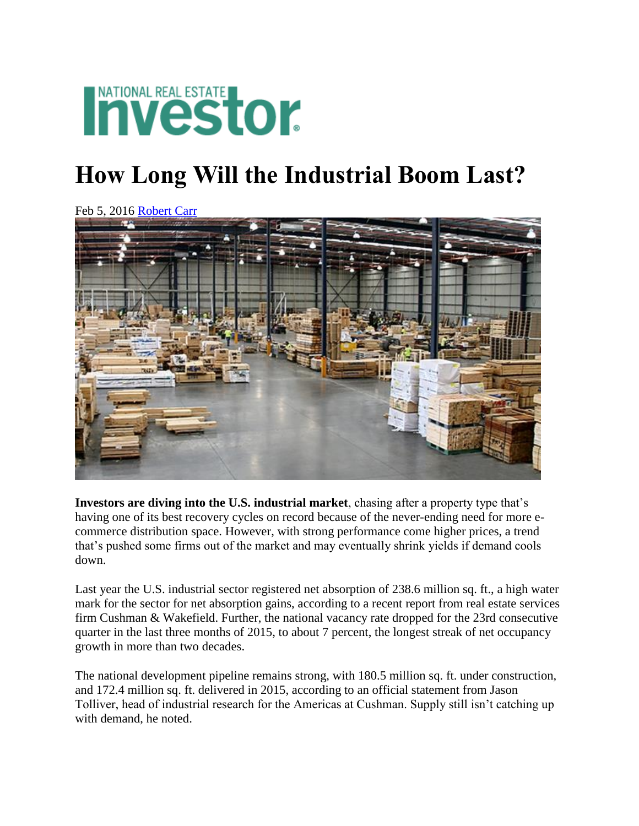## **INATIONAL REAL ESTATE**

## **How Long Will the Industrial Boom Last?**

Feb 5, 2016 [Robert Carr](http://nreionline.com/author/robert-carr)



**Investors are diving into the U.S. industrial market**, chasing after a property type that's having one of its best recovery cycles on record because of the never-ending need for more ecommerce distribution space. However, with strong performance come higher prices, a trend that's pushed some firms out of the market and may eventually shrink yields if demand cools down.

Last year the U.S. industrial sector registered net absorption of 238.6 million sq. ft., a high water mark for the sector for net absorption gains, according to a recent report from real estate services firm Cushman & Wakefield. Further, the national vacancy rate dropped for the 23rd consecutive quarter in the last three months of 2015, to about 7 percent, the longest streak of net occupancy growth in more than two decades.

The national development pipeline remains strong, with 180.5 million sq. ft. under construction, and 172.4 million sq. ft. delivered in 2015, according to an official statement from Jason Tolliver, head of industrial research for the Americas at Cushman. Supply still isn't catching up with demand, he noted.